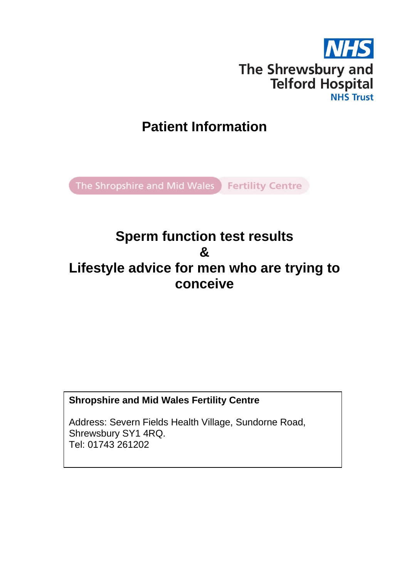

# **Patient Information**

The Shropshire and Mid Wales Fertility Centre

# **Sperm function test results & Lifestyle advice for men who are trying to conceive**

# **Shropshire and Mid Wales Fertility Centre**

Address: Severn Fields Health Village, Sundorne Road, Shrewsbury SY1 4RQ. Tel: 01743 261202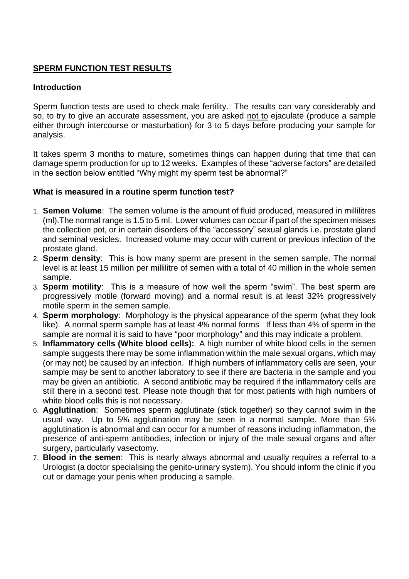# **SPERM FUNCTION TEST RESULTS**

#### **Introduction**

Sperm function tests are used to check male fertility. The results can vary considerably and so, to try to give an accurate assessment, you are asked not to ejaculate (produce a sample either through intercourse or masturbation) for 3 to 5 days before producing your sample for analysis.

It takes sperm 3 months to mature, sometimes things can happen during that time that can damage sperm production for up to 12 weeks. Examples of these "adverse factors" are detailed in the section below entitled "Why might my sperm test be abnormal?"

#### **What is measured in a routine sperm function test?**

- 1. **Semen Volume**: The semen volume is the amount of fluid produced, measured in millilitres (ml).The normal range is 1.5 to 5 ml. Lower volumes can occur if part of the specimen misses the collection pot, or in certain disorders of the "accessory" sexual glands i.e. prostate gland and seminal vesicles. Increased volume may occur with current or previous infection of the prostate gland.
- 2. **Sperm density**: This is how many sperm are present in the semen sample. The normal level is at least 15 million per millilitre of semen with a total of 40 million in the whole semen sample.
- 3. **Sperm motility**: This is a measure of how well the sperm "swim". The best sperm are progressively motile (forward moving) and a normal result is at least 32% progressively motile sperm in the semen sample.
- 4. **Sperm morphology**: Morphology is the physical appearance of the sperm (what they look like). A normal sperm sample has at least 4% normal forms If less than 4% of sperm in the sample are normal it is said to have "poor morphology" and this may indicate a problem.
- 5. **Inflammatory cells (White blood cells):** A high number of white blood cells in the semen sample suggests there may be some inflammation within the male sexual organs, which may (or may not) be caused by an infection. If high numbers of inflammatory cells are seen, your sample may be sent to another laboratory to see if there are bacteria in the sample and you may be given an antibiotic. A second antibiotic may be required if the inflammatory cells are still there in a second test. Please note though that for most patients with high numbers of white blood cells this is not necessary.
- 6. **Agglutination**: Sometimes sperm agglutinate (stick together) so they cannot swim in the usual way. Up to 5% agglutination may be seen in a normal sample. More than 5% agglutination is abnormal and can occur for a number of reasons including inflammation, the presence of anti-sperm antibodies, infection or injury of the male sexual organs and after surgery, particularly vasectomy.
- 7. **Blood in the semen**: This is nearly always abnormal and usually requires a referral to a Urologist (a doctor specialising the genito-urinary system). You should inform the clinic if you cut or damage your penis when producing a sample.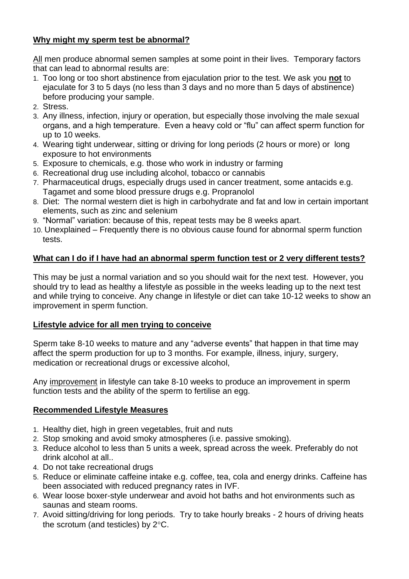## **Why might my sperm test be abnormal?**

All men produce abnormal semen samples at some point in their lives. Temporary factors that can lead to abnormal results are:

- 1. Too long or too short abstinence from ejaculation prior to the test. We ask you **not** to ejaculate for 3 to 5 days (no less than 3 days and no more than 5 days of abstinence) before producing your sample.
- 2. Stress.
- 3. Any illness, infection, injury or operation, but especially those involving the male sexual organs, and a high temperature. Even a heavy cold or "flu" can affect sperm function for up to 10 weeks.
- 4. Wearing tight underwear, sitting or driving for long periods (2 hours or more) or long exposure to hot environments
- 5. Exposure to chemicals, e.g. those who work in industry or farming
- 6. Recreational drug use including alcohol, tobacco or cannabis
- 7. Pharmaceutical drugs, especially drugs used in cancer treatment, some antacids e.g. Tagamet and some blood pressure drugs e.g. Propranolol
- 8. Diet: The normal western diet is high in carbohydrate and fat and low in certain important elements, such as zinc and selenium
- 9. "Normal" variation: because of this, repeat tests may be 8 weeks apart.
- 10. Unexplained Frequently there is no obvious cause found for abnormal sperm function tests.

# **What can I do if I have had an abnormal sperm function test or 2 very different tests?**

This may be just a normal variation and so you should wait for the next test. However, you should try to lead as healthy a lifestyle as possible in the weeks leading up to the next test and while trying to conceive. Any change in lifestyle or diet can take 10-12 weeks to show an improvement in sperm function.

### **Lifestyle advice for all men trying to conceive**

Sperm take 8-10 weeks to mature and any "adverse events" that happen in that time may affect the sperm production for up to 3 months. For example, illness, injury, surgery, medication or recreational drugs or excessive alcohol,

Any improvement in lifestyle can take 8-10 weeks to produce an improvement in sperm function tests and the ability of the sperm to fertilise an egg.

# **Recommended Lifestyle Measures**

- 1. Healthy diet, high in green vegetables, fruit and nuts
- 2. Stop smoking and avoid smoky atmospheres (i.e. passive smoking).
- 3. Reduce alcohol to less than 5 units a week, spread across the week. Preferably do not drink alcohol at all..
- 4. Do not take recreational drugs
- 5. Reduce or eliminate caffeine intake e.g. coffee, tea, cola and energy drinks. Caffeine has been associated with reduced pregnancy rates in IVF.
- 6. Wear loose boxer-style underwear and avoid hot baths and hot environments such as saunas and steam rooms.
- 7. Avoid sitting/driving for long periods. Try to take hourly breaks 2 hours of driving heats the scrotum (and testicles) by  $2^{\circ}$ C.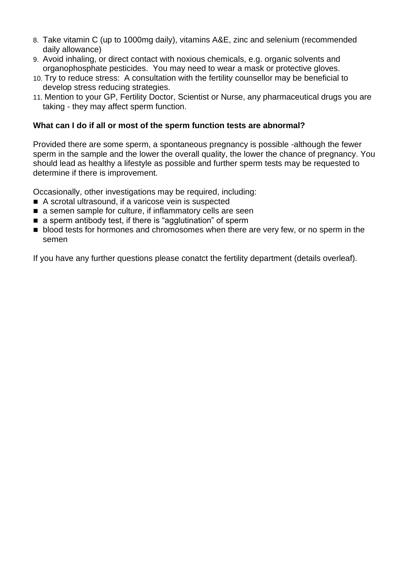- 8. Take vitamin C (up to 1000mg daily), vitamins A&E, zinc and selenium (recommended daily allowance)
- 9. Avoid inhaling, or direct contact with noxious chemicals, e.g. organic solvents and organophosphate pesticides. You may need to wear a mask or protective gloves.
- 10. Try to reduce stress: A consultation with the fertility counsellor may be beneficial to develop stress reducing strategies.
- 11. Mention to your GP, Fertility Doctor, Scientist or Nurse, any pharmaceutical drugs you are taking - they may affect sperm function.

#### **What can I do if all or most of the sperm function tests are abnormal?**

Provided there are some sperm, a spontaneous pregnancy is possible -although the fewer sperm in the sample and the lower the overall quality, the lower the chance of pregnancy. You should lead as healthy a lifestyle as possible and further sperm tests may be requested to determine if there is improvement.

Occasionally, other investigations may be required, including:

- A scrotal ultrasound, if a varicose vein is suspected
- a semen sample for culture, if inflammatory cells are seen
- a sperm antibody test, if there is "agglutination" of sperm
- blood tests for hormones and chromosomes when there are very few, or no sperm in the semen

If you have any further questions please conatct the fertility department (details overleaf).